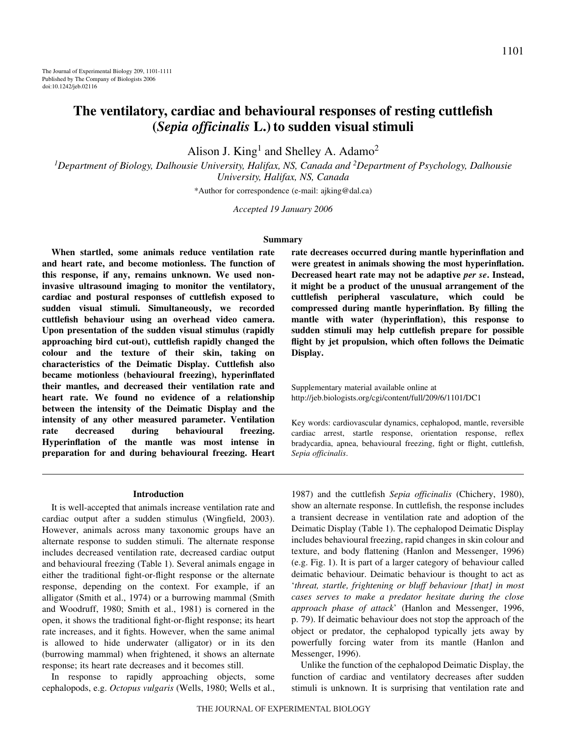# **The ventilatory, cardiac and behavioural responses of resting cuttlefish (***Sepia officinalis* **L.) to sudden visual stimuli**

Alison J. King<sup>1</sup> and Shelley A. Adamo<sup>2</sup>

<sup>1</sup>Department of Biology, Dalhousie University, Halifax, NS, Canada and <sup>2</sup>Department of Psychology, Dalhousie *University, Halifax, NS, Canada*

\*Author for correspondence (e-mail: ajking@dal.ca)

*Accepted 19 January 2006*

#### **Summary**

**When startled, some animals reduce ventilation rate and heart rate, and become motionless. The function of this response, if any, remains unknown. We used noninvasive ultrasound imaging to monitor the ventilatory, cardiac and postural responses of cuttlefish exposed to sudden visual stimuli. Simultaneously, we recorded cuttlefish behaviour using an overhead video camera. Upon presentation of the sudden visual stimulus (rapidly approaching bird cut-out), cuttlefish rapidly changed the colour and the texture of their skin, taking on characteristics of the Deimatic Display. Cuttlefish also became motionless (behavioural freezing), hyperinflated their mantles, and decreased their ventilation rate and heart rate. We found no evidence of a relationship between the intensity of the Deimatic Display and the intensity of any other measured parameter. Ventilation rate decreased during behavioural freezing. Hyperinflation of the mantle was most intense in preparation for and during behavioural freezing. Heart**

#### **Introduction**

It is well-accepted that animals increase ventilation rate and cardiac output after a sudden stimulus (Wingfield, 2003). However, animals across many taxonomic groups have an alternate response to sudden stimuli. The alternate response includes decreased ventilation rate, decreased cardiac output and behavioural freezing (Table 1). Several animals engage in either the traditional fight-or-flight response or the alternate response, depending on the context. For example, if an alligator (Smith et al., 1974) or a burrowing mammal (Smith and Woodruff, 1980; Smith et al., 1981) is cornered in the open, it shows the traditional fight-or-flight response; its heart rate increases, and it fights. However, when the same animal is allowed to hide underwater (alligator) or in its den (burrowing mammal) when frightened, it shows an alternate response; its heart rate decreases and it becomes still.

In response to rapidly approaching objects, some cephalopods, e.g. *Octopus vulgaris* (Wells, 1980; Wells et al.,

**rate decreases occurred during mantle hyperinflation and were greatest in animals showing the most hyperinflation. Decreased heart rate may not be adaptive** *per se***. Instead, it might be a product of the unusual arrangement of the cuttlefish peripheral vasculature, which could be compressed during mantle hyperinflation. By filling the mantle with water (hyperinflation), this response to sudden stimuli may help cuttlefish prepare for possible flight by jet propulsion, which often follows the Deimatic Display.**

Supplementary material available online at http://jeb.biologists.org/cgi/content/full/209/6/1101/DC1

Key words: cardiovascular dynamics, cephalopod, mantle, reversible cardiac arrest, startle response, orientation response, reflex bradycardia, apnea, behavioural freezing, fight or flight, cuttlefish, *Sepia officinalis*.

1987) and the cuttlefish *Sepia officinalis* (Chichery, 1980), show an alternate response. In cuttlefish, the response includes a transient decrease in ventilation rate and adoption of the Deimatic Display (Table·1). The cephalopod Deimatic Display includes behavioural freezing, rapid changes in skin colour and texture, and body flattening (Hanlon and Messenger, 1996) (e.g. Fig. 1). It is part of a larger category of behaviour called deimatic behaviour. Deimatic behaviour is thought to act as '*threat, startle, frightening or bluff behaviour [that] in most cases serves to make a predator hesitate during the close approach phase of attack*' (Hanlon and Messenger, 1996, p. 79). If deimatic behaviour does not stop the approach of the object or predator, the cephalopod typically jets away by powerfully forcing water from its mantle (Hanlon and Messenger, 1996).

Unlike the function of the cephalopod Deimatic Display, the function of cardiac and ventilatory decreases after sudden stimuli is unknown. It is surprising that ventilation rate and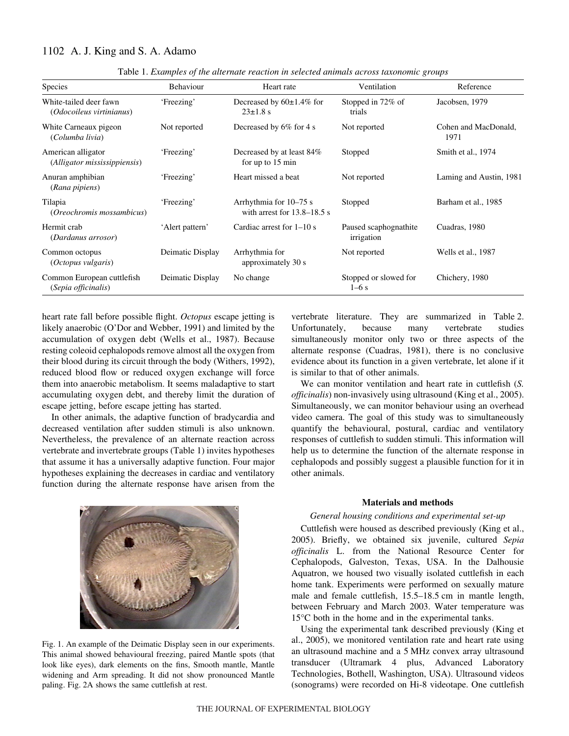| Species                                            | Behaviour        | Heart rate                                                | Ventilation                         | Reference                    |
|----------------------------------------------------|------------------|-----------------------------------------------------------|-------------------------------------|------------------------------|
| White-tailed deer fawn<br>(Odocoileus virtinianus) | 'Freezing'       | Decreased by $60\pm1.4\%$ for<br>$23 \pm 1.8$ s           | Stopped in 72% of<br>trials         | Jacobsen, 1979               |
| White Carneaux pigeon<br>(Columba livia)           | Not reported     | Decreased by $6\%$ for 4 s                                | Not reported                        | Cohen and MacDonald,<br>1971 |
| American alligator<br>(Alligator mississippiensis) | 'Freezing'       | Decreased by at least 84%<br>for up to 15 min             | Stopped                             | Smith et al., 1974           |
| Anuran amphibian<br>(Rana pipiens)                 | 'Freezing'       | Heart missed a beat                                       | Not reported                        | Laming and Austin, 1981      |
| Tilapia<br>(Oreochromis mossambicus)               | 'Freezing'       | Arrhythmia for 10–75 s<br>with arrest for $13.8 - 18.5$ s | Stopped                             | Barham et al., 1985          |
| Hermit crab<br>(Dardanus arrosor)                  | 'Alert pattern'  | Cardiac arrest for $1-10$ s                               | Paused scaphognathite<br>irrigation | Cuadras, 1980                |
| Common octopus<br><i>(Octopus vulgaris)</i>        | Deimatic Display | Arrhythmia for<br>approximately 30 s                      | Not reported                        | Wells et al., 1987           |
| Common European cuttlefish<br>(Sepia officinalis)  | Deimatic Display | No change                                                 | Stopped or slowed for<br>$1-6s$     | Chichery, 1980               |

Table 1. *Examples of the alternate reaction in selected animals across taxonomic groups* 

heart rate fall before possible flight. *Octopus* escape jetting is likely anaerobic (O'Dor and Webber, 1991) and limited by the accumulation of oxygen debt (Wells et al., 1987). Because resting coleoid cephalopods remove almost all the oxygen from their blood during its circuit through the body (Withers, 1992), reduced blood flow or reduced oxygen exchange will force them into anaerobic metabolism. It seems maladaptive to start accumulating oxygen debt, and thereby limit the duration of escape jetting, before escape jetting has started.

In other animals, the adaptive function of bradycardia and decreased ventilation after sudden stimuli is also unknown. Nevertheless, the prevalence of an alternate reaction across vertebrate and invertebrate groups (Table 1) invites hypotheses that assume it has a universally adaptive function. Four major hypotheses explaining the decreases in cardiac and ventilatory function during the alternate response have arisen from the



Fig. 1. An example of the Deimatic Display seen in our experiments. This animal showed behavioural freezing, paired Mantle spots (that look like eyes), dark elements on the fins, Smooth mantle, Mantle widening and Arm spreading. It did not show pronounced Mantle paling. Fig. 2A shows the same cuttlefish at rest.

vertebrate literature. They are summarized in Table 2. Unfortunately, because many vertebrate studies simultaneously monitor only two or three aspects of the alternate response (Cuadras, 1981), there is no conclusive evidence about its function in a given vertebrate, let alone if it is similar to that of other animals.

We can monitor ventilation and heart rate in cuttlefish (*S. officinalis*) non-invasively using ultrasound (King et al., 2005). Simultaneously, we can monitor behaviour using an overhead video camera. The goal of this study was to simultaneously quantify the behavioural, postural, cardiac and ventilatory responses of cuttlefish to sudden stimuli. This information will help us to determine the function of the alternate response in cephalopods and possibly suggest a plausible function for it in other animals.

#### **Materials and methods**

### *General housing conditions and experimental set-up*

Cuttlefish were housed as described previously (King et al., 2005). Briefly, we obtained six juvenile, cultured *Sepia officinalis* L. from the National Resource Center for Cephalopods, Galveston, Texas, USA. In the Dalhousie Aquatron, we housed two visually isolated cuttlefish in each home tank. Experiments were performed on sexually mature male and female cuttlefish,  $15.5-18.5$  cm in mantle length, between February and March 2003. Water temperature was 15°C both in the home and in the experimental tanks.

Using the experimental tank described previously (King et al., 2005), we monitored ventilation rate and heart rate using an ultrasound machine and a 5 MHz convex array ultrasound transducer (Ultramark 4 plus, Advanced Laboratory Technologies, Bothell, Washington, USA). Ultrasound videos (sonograms) were recorded on Hi-8 videotape. One cuttlefish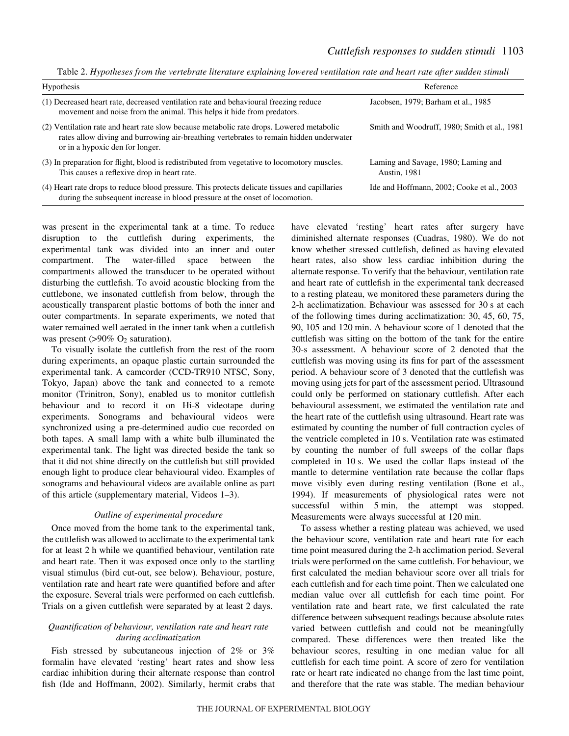| <b>Hypothesis</b>                                                                                                                                                                                                     | Reference                                                  |
|-----------------------------------------------------------------------------------------------------------------------------------------------------------------------------------------------------------------------|------------------------------------------------------------|
| (1) Decreased heart rate, decreased ventilation rate and behavioural freezing reduce<br>movement and noise from the animal. This helps it hide from predators.                                                        | Jacobsen, 1979; Barham et al., 1985                        |
| (2) Ventilation rate and heart rate slow because metabolic rate drops. Lowered metabolic<br>rates allow diving and burrowing air-breathing vertebrates to remain hidden underwater<br>or in a hypoxic den for longer. | Smith and Woodruff, 1980; Smith et al., 1981               |
| (3) In preparation for flight, blood is redistributed from vegetative to locomotory muscles.<br>This causes a reflexive drop in heart rate.                                                                           | Laming and Savage, 1980; Laming and<br><b>Austin, 1981</b> |
| (4) Heart rate drops to reduce blood pressure. This protects delicate tissues and capillaries<br>during the subsequent increase in blood pressure at the onset of locomotion.                                         | Ide and Hoffmann, 2002; Cooke et al., 2003                 |

Table 2. *Hypotheses from the vertebrate literature explaining lowered ventilation rate and heart rate after sudden stimuli* 

was present in the experimental tank at a time. To reduce disruption to the cuttlefish during experiments, the experimental tank was divided into an inner and outer compartment. The water-filled space between the compartments allowed the transducer to be operated without disturbing the cuttlefish. To avoid acoustic blocking from the cuttlebone, we insonated cuttlefish from below, through the acoustically transparent plastic bottoms of both the inner and outer compartments. In separate experiments, we noted that water remained well aerated in the inner tank when a cuttlefish was present  $(>90\%$  O<sub>2</sub> saturation).

To visually isolate the cuttlefish from the rest of the room during experiments, an opaque plastic curtain surrounded the experimental tank. A camcorder (CCD-TR910 NTSC, Sony, Tokyo, Japan) above the tank and connected to a remote monitor (Trinitron, Sony), enabled us to monitor cuttlefish behaviour and to record it on Hi-8 videotape during experiments. Sonograms and behavioural videos were synchronized using a pre-determined audio cue recorded on both tapes. A small lamp with a white bulb illuminated the experimental tank. The light was directed beside the tank so that it did not shine directly on the cuttlefish but still provided enough light to produce clear behavioural video. Examples of sonograms and behavioural videos are available online as part of this article (supplementary material, Videos 1–3).

### *Outline of experimental procedure*

Once moved from the home tank to the experimental tank, the cuttlefish was allowed to acclimate to the experimental tank for at least 2 h while we quantified behaviour, ventilation rate and heart rate. Then it was exposed once only to the startling visual stimulus (bird cut-out, see below). Behaviour, posture, ventilation rate and heart rate were quantified before and after the exposure. Several trials were performed on each cuttlefish. Trials on a given cuttlefish were separated by at least 2 days.

# *Quantification of behaviour, ventilation rate and heart rate during acclimatization*

Fish stressed by subcutaneous injection of 2% or 3% formalin have elevated 'resting' heart rates and show less cardiac inhibition during their alternate response than control fish (Ide and Hoffmann, 2002). Similarly, hermit crabs that

have elevated 'resting' heart rates after surgery have diminished alternate responses (Cuadras, 1980). We do not know whether stressed cuttlefish, defined as having elevated heart rates, also show less cardiac inhibition during the alternate response. To verify that the behaviour, ventilation rate and heart rate of cuttlefish in the experimental tank decreased to a resting plateau, we monitored these parameters during the 2-h acclimatization. Behaviour was assessed for 30 s at each of the following times during acclimatization: 30, 45, 60, 75, 90, 105 and 120 min. A behaviour score of 1 denoted that the cuttlefish was sitting on the bottom of the tank for the entire 30-s assessment. A behaviour score of 2 denoted that the cuttlefish was moving using its fins for part of the assessment period. A behaviour score of 3 denoted that the cuttlefish was moving using jets for part of the assessment period. Ultrasound could only be performed on stationary cuttlefish. After each behavioural assessment, we estimated the ventilation rate and the heart rate of the cuttlefish using ultrasound. Heart rate was estimated by counting the number of full contraction cycles of the ventricle completed in 10 s. Ventilation rate was estimated by counting the number of full sweeps of the collar flaps completed in 10 s. We used the collar flaps instead of the mantle to determine ventilation rate because the collar flaps move visibly even during resting ventilation (Bone et al., 1994). If measurements of physiological rates were not successful within 5 min, the attempt was stopped. Measurements were always successful at 120 min.

To assess whether a resting plateau was achieved, we used the behaviour score, ventilation rate and heart rate for each time point measured during the 2-h acclimation period. Several trials were performed on the same cuttlefish. For behaviour, we first calculated the median behaviour score over all trials for each cuttlefish and for each time point. Then we calculated one median value over all cuttlefish for each time point. For ventilation rate and heart rate, we first calculated the rate difference between subsequent readings because absolute rates varied between cuttlefish and could not be meaningfully compared. These differences were then treated like the behaviour scores, resulting in one median value for all cuttlefish for each time point. A score of zero for ventilation rate or heart rate indicated no change from the last time point, and therefore that the rate was stable. The median behaviour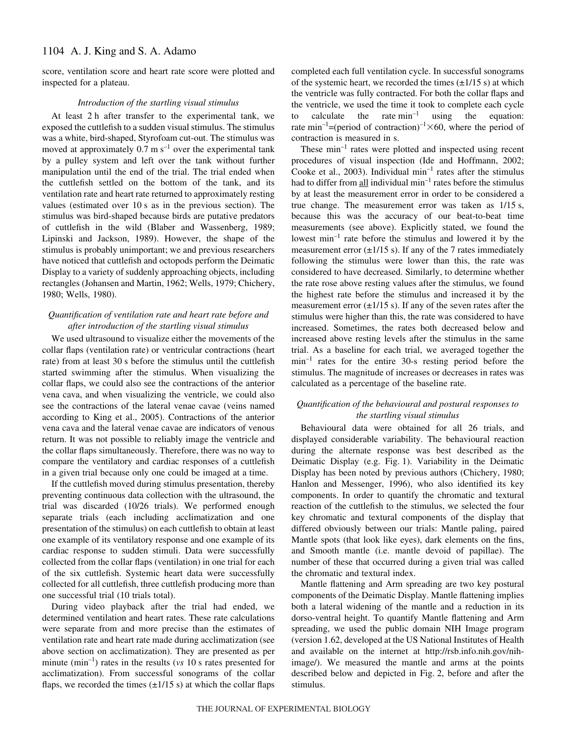score, ventilation score and heart rate score were plotted and inspected for a plateau.

### *Introduction of the startling visual stimulus*

At least 2 h after transfer to the experimental tank, we exposed the cuttlefish to a sudden visual stimulus. The stimulus was a white, bird-shaped, Styrofoam cut-out. The stimulus was moved at approximately  $0.7 \text{ m s}^{-1}$  over the experimental tank by a pulley system and left over the tank without further manipulation until the end of the trial. The trial ended when the cuttlefish settled on the bottom of the tank, and its ventilation rate and heart rate returned to approximately resting values (estimated over  $10 s$  as in the previous section). The stimulus was bird-shaped because birds are putative predators of cuttlefish in the wild (Blaber and Wassenberg, 1989; Lipinski and Jackson, 1989). However, the shape of the stimulus is probably unimportant; we and previous researchers have noticed that cuttlefish and octopods perform the Deimatic Display to a variety of suddenly approaching objects, including rectangles (Johansen and Martin, 1962; Wells, 1979; Chichery, 1980; Wells, 1980).

# *Quantification of ventilation rate and heart rate before and after introduction of the startling visual stimulus*

We used ultrasound to visualize either the movements of the collar flaps (ventilation rate) or ventricular contractions (heart rate) from at least 30 s before the stimulus until the cuttlefish started swimming after the stimulus. When visualizing the collar flaps, we could also see the contractions of the anterior vena cava, and when visualizing the ventricle, we could also see the contractions of the lateral venae cavae (veins named according to King et al., 2005). Contractions of the anterior vena cava and the lateral venae cavae are indicators of venous return. It was not possible to reliably image the ventricle and the collar flaps simultaneously. Therefore, there was no way to compare the ventilatory and cardiac responses of a cuttlefish in a given trial because only one could be imaged at a time.

If the cuttlefish moved during stimulus presentation, thereby preventing continuous data collection with the ultrasound, the trial was discarded (10/26 trials). We performed enough separate trials (each including acclimatization and one presentation of the stimulus) on each cuttlefish to obtain at least one example of its ventilatory response and one example of its cardiac response to sudden stimuli. Data were successfully collected from the collar flaps (ventilation) in one trial for each of the six cuttlefish. Systemic heart data were successfully collected for all cuttlefish, three cuttlefish producing more than one successful trial (10 trials total).

During video playback after the trial had ended, we determined ventilation and heart rates. These rate calculations were separate from and more precise than the estimates of ventilation rate and heart rate made during acclimatization (see above section on acclimatization). They are presented as per minute  $(\text{min}^{-1})$  rates in the results ( $vs$  10 s rates presented for acclimatization). From successful sonograms of the collar flaps, we recorded the times  $(\pm 1/15 \text{ s})$  at which the collar flaps

completed each full ventilation cycle. In successful sonograms of the systemic heart, we recorded the times  $(\pm 1/15 \text{ s})$  at which the ventricle was fully contracted. For both the collar flaps and the ventricle, we used the time it took to complete each cycle to calculate the rate  $min^{-1}$  using the equation: rate min<sup>-1</sup>=(period of contraction)<sup>-1</sup> $\times$ 60, where the period of contraction is measured in s.

These  $\min^{-1}$  rates were plotted and inspected using recent procedures of visual inspection (Ide and Hoffmann, 2002; Cooke et al., 2003). Individual  $min^{-1}$  rates after the stimulus had to differ from all individual  $min^{-1}$  rates before the stimulus by at least the measurement error in order to be considered a true change. The measurement error was taken as  $1/15$  s, because this was the accuracy of our beat-to-beat time measurements (see above). Explicitly stated, we found the lowest  $min^{-1}$  rate before the stimulus and lowered it by the measurement error  $(\pm 1/15 \text{ s})$ . If any of the 7 rates immediately following the stimulus were lower than this, the rate was considered to have decreased. Similarly, to determine whether the rate rose above resting values after the stimulus, we found the highest rate before the stimulus and increased it by the measurement error  $(\pm 1/15 \text{ s})$ . If any of the seven rates after the stimulus were higher than this, the rate was considered to have increased. Sometimes, the rates both decreased below and increased above resting levels after the stimulus in the same trial. As a baseline for each trial, we averaged together the  $min^{-1}$  rates for the entire 30-s resting period before the stimulus. The magnitude of increases or decreases in rates was calculated as a percentage of the baseline rate.

# *Quantification of the behavioural and postural responses to the startling visual stimulus*

Behavioural data were obtained for all 26 trials, and displayed considerable variability. The behavioural reaction during the alternate response was best described as the Deimatic Display (e.g. Fig. 1). Variability in the Deimatic Display has been noted by previous authors (Chichery, 1980; Hanlon and Messenger, 1996), who also identified its key components. In order to quantify the chromatic and textural reaction of the cuttlefish to the stimulus, we selected the four key chromatic and textural components of the display that differed obviously between our trials: Mantle paling, paired Mantle spots (that look like eyes), dark elements on the fins, and Smooth mantle (i.e. mantle devoid of papillae). The number of these that occurred during a given trial was called the chromatic and textural index.

Mantle flattening and Arm spreading are two key postural components of the Deimatic Display. Mantle flattening implies both a lateral widening of the mantle and a reduction in its dorso-ventral height. To quantify Mantle flattening and Arm spreading, we used the public domain NIH Image program (version 1.62, developed at the US National Institutes of Health and available on the internet at http://rsb.info.nih.gov/nihimage/). We measured the mantle and arms at the points described below and depicted in Fig. 2, before and after the stimulus.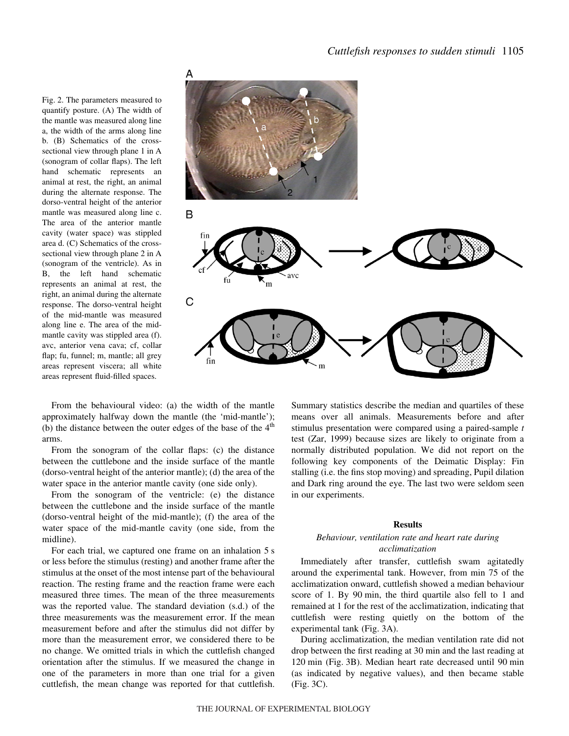Fig. 2. The parameters measured to quantify posture. (A) The width of the mantle was measured along line a, the width of the arms along line b. (B) Schematics of the crosssectional view through plane 1 in A (sonogram of collar flaps). The left hand schematic represents an animal at rest, the right, an animal during the alternate response. The dorso-ventral height of the anterior mantle was measured along line c. The area of the anterior mantle cavity (water space) was stippled area d. (C) Schematics of the crosssectional view through plane 2 in A (sonogram of the ventricle). As in B, the left hand schematic represents an animal at rest, the right, an animal during the alternate response. The dorso-ventral height of the mid-mantle was measured along line e. The area of the midmantle cavity was stippled area (f). avc, anterior vena cava; cf, collar flap; fu, funnel; m, mantle; all grey areas represent viscera; all white areas represent fluid-filled spaces.



From the behavioural video: (a) the width of the mantle approximately halfway down the mantle (the 'mid-mantle'); (b) the distance between the outer edges of the base of the  $4<sup>th</sup>$ arms.

From the sonogram of the collar flaps: (c) the distance between the cuttlebone and the inside surface of the mantle (dorso-ventral height of the anterior mantle); (d) the area of the water space in the anterior mantle cavity (one side only).

From the sonogram of the ventricle: (e) the distance between the cuttlebone and the inside surface of the mantle (dorso-ventral height of the mid-mantle); (f) the area of the water space of the mid-mantle cavity (one side, from the midline).

For each trial, we captured one frame on an inhalation 5 s or less before the stimulus (resting) and another frame after the stimulus at the onset of the most intense part of the behavioural reaction. The resting frame and the reaction frame were each measured three times. The mean of the three measurements was the reported value. The standard deviation (s.d.) of the three measurements was the measurement error. If the mean measurement before and after the stimulus did not differ by more than the measurement error, we considered there to be no change. We omitted trials in which the cuttlefish changed orientation after the stimulus. If we measured the change in one of the parameters in more than one trial for a given cuttlefish, the mean change was reported for that cuttlefish.

Summary statistics describe the median and quartiles of these means over all animals. Measurements before and after stimulus presentation were compared using a paired-sample *t* test (Zar, 1999) because sizes are likely to originate from a normally distributed population. We did not report on the following key components of the Deimatic Display: Fin stalling (i.e. the fins stop moving) and spreading, Pupil dilation and Dark ring around the eye. The last two were seldom seen in our experiments.

#### **Results**

### *Behaviour, ventilation rate and heart rate during acclimatization*

Immediately after transfer, cuttlefish swam agitatedly around the experimental tank. However, from min 75 of the acclimatization onward, cuttlefish showed a median behaviour score of 1. By 90 min, the third quartile also fell to 1 and remained at 1 for the rest of the acclimatization, indicating that cuttlefish were resting quietly on the bottom of the experimental tank (Fig. 3A).

During acclimatization, the median ventilation rate did not drop between the first reading at 30 min and the last reading at 120 min (Fig. 3B). Median heart rate decreased until 90 min (as indicated by negative values), and then became stable  $(Fig. 3C)$ .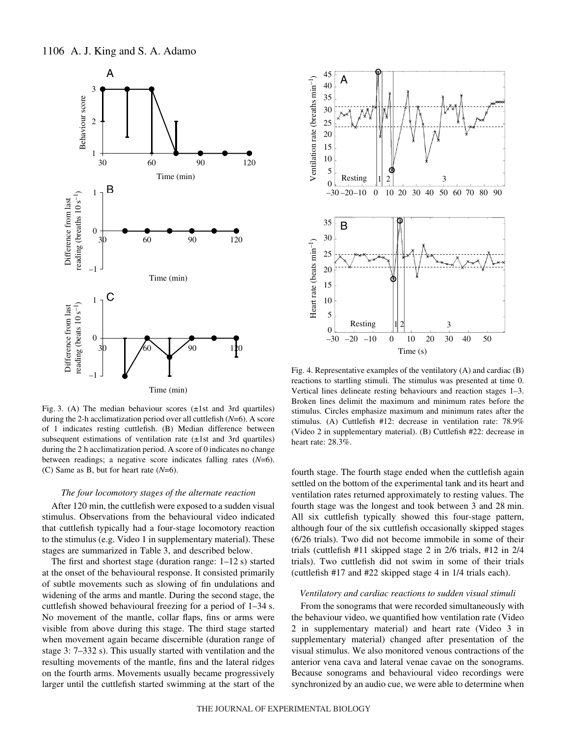

Fig. 3. (A) The median behaviour scores  $(\pm 1st$  and 3rd quartiles) during the 2-h acclimatization period over all cuttlefish (*N*=6). A score of 1 indicates resting cuttlefish. (B) Median difference between subsequent estimations of ventilation rate (±1st and 3rd quartiles) during the 2 h acclimatization period. A score of 0 indicates no change between readings; a negative score indicates falling rates (*N*=6). (C) Same as B, but for heart rate (*N*=6).

#### *The four locomotory stages of the alternate reaction*

After 120 min, the cuttlefish were exposed to a sudden visual stimulus. Observations from the behavioural video indicated that cuttlefish typically had a four-stage locomotory reaction to the stimulus (e.g. Video 1 in supplementary material). These stages are summarized in Table 3, and described below.

The first and shortest stage (duration range:  $1-12$  s) started at the onset of the behavioural response. It consisted primarily of subtle movements such as slowing of fin undulations and widening of the arms and mantle. During the second stage, the cuttlefish showed behavioural freezing for a period of  $1-34$  s. No movement of the mantle, collar flaps, fins or arms were visible from above during this stage. The third stage started when movement again became discernible (duration range of stage  $3: 7-332$  s). This usually started with ventilation and the resulting movements of the mantle, fins and the lateral ridges on the fourth arms. Movements usually became progressively larger until the cuttlefish started swimming at the start of the



Fig. 4. Representative examples of the ventilatory  $(A)$  and cardiac  $(B)$ reactions to startling stimuli. The stimulus was presented at time 0. Vertical lines delineate resting behaviours and reaction stages 1–3. Broken lines delimit the maximum and minimum rates before the stimulus. Circles emphasize maximum and minimum rates after the stimulus. (A) Cuttlefish #12: decrease in ventilation rate: 78.9% (Video 2 in supplementary material). (B) Cuttlefish #22: decrease in heart rate: 28.3%.

fourth stage. The fourth stage ended when the cuttlefish again settled on the bottom of the experimental tank and its heart and ventilation rates returned approximately to resting values. The fourth stage was the longest and took between 3 and 28 min. All six cuttlefish typically showed this four-stage pattern, although four of the six cuttlefish occasionally skipped stages (6/26 trials). Two did not become immobile in some of their trials (cuttlefish #11 skipped stage 2 in 2/6 trials, #12 in 2/4 trials). Two cuttlefish did not swim in some of their trials (cuttlefish #17 and #22 skipped stage 4 in 1/4 trials each).

#### *Ventilatory and cardiac reactions to sudden visual stimuli*

From the sonograms that were recorded simultaneously with the behaviour video, we quantified how ventilation rate (Video 2 in supplementary material) and heart rate (Video 3 in supplementary material) changed after presentation of the visual stimulus. We also monitored venous contractions of the anterior vena cava and lateral venae cavae on the sonograms. Because sonograms and behavioural video recordings were synchronized by an audio cue, we were able to determine when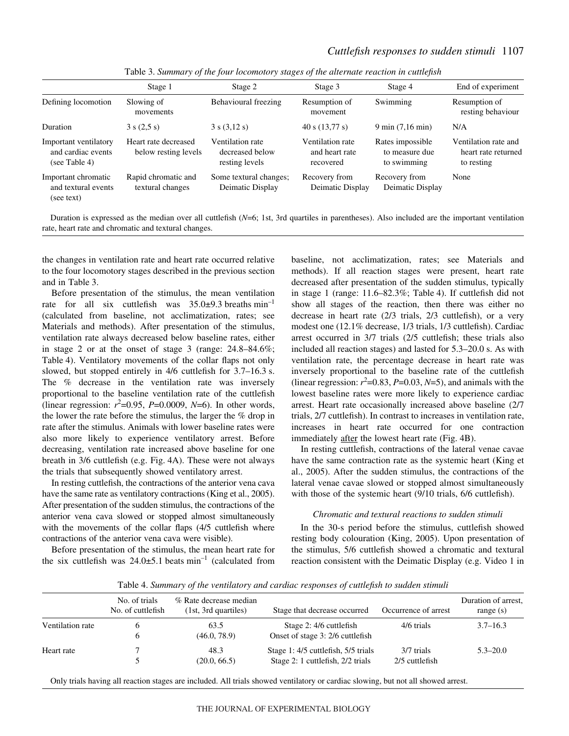|                                                              | Stage 1                                      | Stage 2                                               | Stage 3                                         | Stage 4                                           | End of experiment                                         |
|--------------------------------------------------------------|----------------------------------------------|-------------------------------------------------------|-------------------------------------------------|---------------------------------------------------|-----------------------------------------------------------|
| Defining locomotion                                          | Slowing of<br>movements                      | Behavioural freezing                                  | Resumption of<br>movement                       | Swimming                                          | Resumption of<br>resting behaviour                        |
| Duration                                                     | 3 s (2.5 s)                                  | 3 s (3,12 s)                                          | 40 s $(13,77 s)$                                | $9 \text{ min} (7,16 \text{ min})$                | N/A                                                       |
| Important ventilatory<br>and cardiac events<br>(see Table 4) | Heart rate decreased<br>below resting levels | Ventilation rate<br>decreased below<br>resting levels | Ventilation rate<br>and heart rate<br>recovered | Rates impossible<br>to measure due<br>to swimming | Ventilation rate and<br>heart rate returned<br>to resting |
| Important chromatic<br>and textural events<br>(see text)     | Rapid chromatic and<br>textural changes      | Some textural changes;<br>Deimatic Display            | Recovery from<br>Deimatic Display               | Recovery from<br>Deimatic Display                 | None                                                      |

Table 3. Summary of the four locomotory stages of the alternate reaction in cuttlefish

Duration is expressed as the median over all cuttlefish (*N*=6; 1st, 3rd quartiles in parentheses). Also included are the important ventilation rate, heart rate and chromatic and textural changes.

the changes in ventilation rate and heart rate occurred relative to the four locomotory stages described in the previous section and in Table 3.

Before presentation of the stimulus, the mean ventilation rate for all six cuttlefish was  $35.0\pm9.3$  breaths min<sup>-1</sup> (calculated from baseline, not acclimatization, rates; see Materials and methods). After presentation of the stimulus, ventilation rate always decreased below baseline rates, either in stage 2 or at the onset of stage 3 (range: 24.8–84.6%; Table 4). Ventilatory movements of the collar flaps not only slowed, but stopped entirely in 4/6 cuttlefish for 3.7–16.3 s. The % decrease in the ventilation rate was inversely proportional to the baseline ventilation rate of the cuttlefish (linear regression:  $r^2$ =0.95,  $P$ =0.0009,  $N$ =6). In other words, the lower the rate before the stimulus, the larger the % drop in rate after the stimulus. Animals with lower baseline rates were also more likely to experience ventilatory arrest. Before decreasing, ventilation rate increased above baseline for one breath in 3/6 cuttlefish (e.g. Fig. 4A). These were not always the trials that subsequently showed ventilatory arrest.

In resting cuttlefish, the contractions of the anterior vena cava have the same rate as ventilatory contractions (King et al., 2005). After presentation of the sudden stimulus, the contractions of the anterior vena cava slowed or stopped almost simultaneously with the movements of the collar flaps (4/5 cuttlefish where contractions of the anterior vena cava were visible).

Before presentation of the stimulus, the mean heart rate for the six cuttlefish was  $24.0\pm5.1$  beats min<sup>-1</sup> (calculated from

baseline, not acclimatization, rates; see Materials and methods). If all reaction stages were present, heart rate decreased after presentation of the sudden stimulus, typically in stage 1 (range:  $11.6 - 82.3\%$ ; Table 4). If cuttlefish did not show all stages of the reaction, then there was either no decrease in heart rate (2/3 trials, 2/3 cuttlefish), or a very modest one (12.1% decrease, 1/3 trials, 1/3 cuttlefish). Cardiac arrest occurred in 3/7 trials (2/5 cuttlefish; these trials also included all reaction stages) and lasted for  $5.3-20.0$  s. As with ventilation rate, the percentage decrease in heart rate was inversely proportional to the baseline rate of the cuttlefish (linear regression:  $r^2$ =0.83, *P*=0.03, *N*=5), and animals with the lowest baseline rates were more likely to experience cardiac arrest. Heart rate occasionally increased above baseline (2/7 trials, 2/7 cuttlefish). In contrast to increases in ventilation rate, increases in heart rate occurred for one contraction immediately after the lowest heart rate (Fig. 4B).

In resting cuttlefish, contractions of the lateral venae cavae have the same contraction rate as the systemic heart (King et al., 2005). After the sudden stimulus, the contractions of the lateral venae cavae slowed or stopped almost simultaneously with those of the systemic heart (9/10 trials, 6/6 cuttlefish).

#### *Chromatic and textural reactions to sudden stimuli*

In the 30-s period before the stimulus, cuttlefish showed resting body colouration (King, 2005). Upon presentation of the stimulus, 5/6 cuttlefish showed a chromatic and textural reaction consistent with the Deimatic Display (e.g. Video 1 in

Table 4. *Summary of the ventilatory and cardiac responses of cuttlefish to sudden stimuli* 

|                  | No. of trials<br>No. of cuttlefish | % Rate decrease median<br>(1st, 3rd quartiles) | Stage that decrease occurred                                             | Occurrence of arrest         | Duration of arrest,<br>range $(s)$ |
|------------------|------------------------------------|------------------------------------------------|--------------------------------------------------------------------------|------------------------------|------------------------------------|
| Ventilation rate | 6                                  | 63.5<br>(46.0, 78.9)                           | Stage 2: 4/6 cuttlefish<br>Onset of stage 3: 2/6 cuttlefish              | 4/6 trials                   | $3.7 - 16.3$                       |
| Heart rate       |                                    | 48.3<br>(20.0, 66.5)                           | Stage 1: 4/5 cuttlefish, 5/5 trials<br>Stage 2: 1 cuttlefish, 2/2 trials | 3/7 trials<br>2/5 cuttlefish | $5.3 - 20.0$                       |

Only trials having all reaction stages are included. All trials showed ventilatory or cardiac slowing, but not all showed arrest.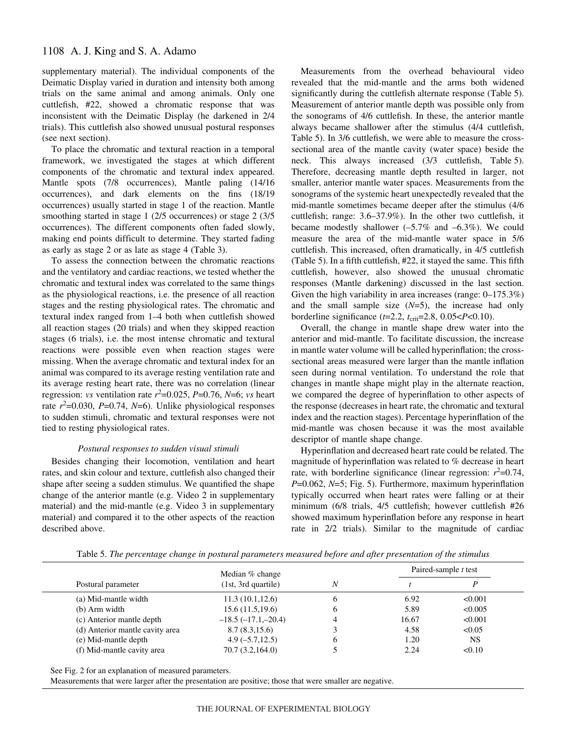supplementary material). The individual components of the Deimatic Display varied in duration and intensity both among trials on the same animal and among animals. Only one cuttlefish, #22, showed a chromatic response that was inconsistent with the Deimatic Display (he darkened in 2/4 trials). This cuttlefish also showed unusual postural responses (see next section).

To place the chromatic and textural reaction in a temporal framework, we investigated the stages at which different components of the chromatic and textural index appeared. Mantle spots (7/8 occurrences), Mantle paling (14/16 occurrences), and dark elements on the fins (18/19 occurrences) usually started in stage 1 of the reaction. Mantle smoothing started in stage 1 (2/5 occurrences) or stage 2 (3/5 occurrences). The different components often faded slowly, making end points difficult to determine. They started fading as early as stage 2 or as late as stage 4 (Table 3).

To assess the connection between the chromatic reactions and the ventilatory and cardiac reactions, we tested whether the chromatic and textural index was correlated to the same things as the physiological reactions, i.e. the presence of all reaction stages and the resting physiological rates. The chromatic and textural index ranged from 1–4 both when cuttlefish showed all reaction stages (20 trials) and when they skipped reaction stages (6 trials), i.e. the most intense chromatic and textural reactions were possible even when reaction stages were missing. When the average chromatic and textural index for an animal was compared to its average resting ventilation rate and its average resting heart rate, there was no correlation (linear regression: *vs* ventilation rate  $r^2$ =0.025, *P*=0.76, *N*=6; *vs* heart rate  $r^2$ =0.030, *P*=0.74, *N*=6). Unlike physiological responses to sudden stimuli, chromatic and textural responses were not tied to resting physiological rates.

### *Postural responses to sudden visual stimuli*

Besides changing their locomotion, ventilation and heart rates, and skin colour and texture, cuttlefish also changed their shape after seeing a sudden stimulus. We quantified the shape change of the anterior mantle (e.g. Video 2 in supplementary material) and the mid-mantle (e.g. Video 3 in supplementary material) and compared it to the other aspects of the reaction described above.

Measurements from the overhead behavioural video revealed that the mid-mantle and the arms both widened significantly during the cuttlefish alternate response (Table 5). Measurement of anterior mantle depth was possible only from the sonograms of 4/6 cuttlefish. In these, the anterior mantle always became shallower after the stimulus (4/4 cuttlefish, Table 5). In 3/6 cuttlefish, we were able to measure the crosssectional area of the mantle cavity (water space) beside the neck. This always increased (3/3 cuttlefish, Table 5). Therefore, decreasing mantle depth resulted in larger, not smaller, anterior mantle water spaces. Measurements from the sonograms of the systemic heart unexpectedly revealed that the mid-mantle sometimes became deeper after the stimulus (4/6 cuttlefish; range: 3.6–37.9%). In the other two cuttlefish, it became modestly shallower  $(-5.7\%$  and  $-6.3\%)$ . We could measure the area of the mid-mantle water space in 5/6 cuttlefish. This increased, often dramatically, in 4/5 cuttlefish (Table 5). In a fifth cuttlefish, #22, it stayed the same. This fifth cuttlefish, however, also showed the unusual chromatic responses (Mantle darkening) discussed in the last section. Given the high variability in area increases (range:  $0-175.3\%$ ) and the small sample size (*N*=5), the increase had only borderline significance (*t*=2.2, *t*<sub>crit</sub>=2.8, 0.05<*P*<0.10).

Overall, the change in mantle shape drew water into the anterior and mid-mantle. To facilitate discussion, the increase in mantle water volume will be called hyperinflation; the crosssectional areas measured were larger than the mantle inflation seen during normal ventilation. To understand the role that changes in mantle shape might play in the alternate reaction, we compared the degree of hyperinflation to other aspects of the response (decreases in heart rate, the chromatic and textural index and the reaction stages). Percentage hyperinflation of the mid-mantle was chosen because it was the most available descriptor of mantle shape change.

Hyperinflation and decreased heart rate could be related. The magnitude of hyperinflation was related to % decrease in heart rate, with borderline significance (linear regression:  $r^2=0.74$ , *P*=0.062, *N*=5; Fig. 5). Furthermore, maximum hyperinflation typically occurred when heart rates were falling or at their minimum (6/8 trials, 4/5 cuttlefish; however cuttlefish #26 showed maximum hyperinflation before any response in heart rate in 2/2 trials). Similar to the magnitude of cardiac

Table 5. *The percentage change in postural parameters measured before and after presentation of the stimulus*

|                                 | Median % change      |   | Paired-sample <i>t</i> test |         |
|---------------------------------|----------------------|---|-----------------------------|---------|
| Postural parameter              | (1st, 3rd quartile)  | N |                             |         |
| (a) Mid-mantle width            | 11.3(10.1, 12.6)     |   | 6.92                        | < 0.001 |
| (b) Arm width                   | 15.6(11.5,19.6)      |   | 5.89                        | < 0.005 |
| (c) Anterior mantle depth       | $-18.5(-17.1,-20.4)$ |   | 16.67                       | < 0.001 |
| (d) Anterior mantle cavity area | 8.7(8.3,15.6)        |   | 4.58                        | < 0.05  |
| (e) Mid-mantle depth            | $4.9(-5.7, 12.5)$    |   | 1.20                        | NS      |
| (f) Mid-mantle cavity area      | 70.7 (3.2, 164.0)    |   | 2.24                        | < 0.10  |

See Fig. 2 for an explanation of measured parameters.

Measurements that were larger after the presentation are positive; those that were smaller are negative.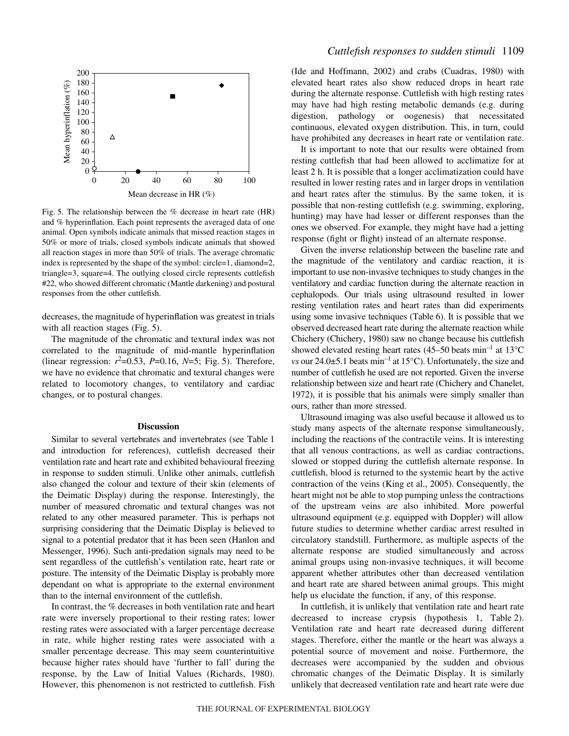

Fig. 5. The relationship between the % decrease in heart rate (HR) and % hyperinflation. Each point represents the averaged data of one animal. Open symbols indicate animals that missed reaction stages in 50% or more of trials, closed symbols indicate animals that showed all reaction stages in more than 50% of trials. The average chromatic index is represented by the shape of the symbol: circle=1, diamond=2, triangle=3, square=4. The outlying closed circle represents cuttlefish #22, who showed different chromatic (Mantle darkening) and postural responses from the other cuttlefish.

decreases, the magnitude of hyperinflation was greatest in trials with all reaction stages (Fig.  $5$ ).

The magnitude of the chromatic and textural index was not correlated to the magnitude of mid-mantle hyperinflation (linear regression:  $r^2$ =0.53,  $P$ =0.16,  $N$ =5; Fig. 5). Therefore, we have no evidence that chromatic and textural changes were related to locomotory changes, to ventilatory and cardiac changes, or to postural changes.

#### **Discussion**

Similar to several vertebrates and invertebrates (see Table 1) and introduction for references), cuttlefish decreased their ventilation rate and heart rate and exhibited behavioural freezing in response to sudden stimuli. Unlike other animals, cuttlefish also changed the colour and texture of their skin (elements of the Deimatic Display) during the response. Interestingly, the number of measured chromatic and textural changes was not related to any other measured parameter. This is perhaps not surprising considering that the Deimatic Display is believed to signal to a potential predator that it has been seen (Hanlon and Messenger, 1996). Such anti-predation signals may need to be sent regardless of the cuttlefish's ventilation rate, heart rate or posture. The intensity of the Deimatic Display is probably more dependant on what is appropriate to the external environment than to the internal environment of the cuttlefish.

In contrast, the % decreases in both ventilation rate and heart rate were inversely proportional to their resting rates; lower resting rates were associated with a larger percentage decrease in rate, while higher resting rates were associated with a smaller percentage decrease. This may seem counterintuitive because higher rates should have 'further to fall' during the response, by the Law of Initial Values (Richards, 1980). However, this phenomenon is not restricted to cuttlefish. Fish

(Ide and Hoffmann, 2002) and crabs (Cuadras, 1980) with elevated heart rates also show reduced drops in heart rate during the alternate response. Cuttlefish with high resting rates may have had high resting metabolic demands (e.g. during digestion, pathology or oogenesis) that necessitated continuous, elevated oxygen distribution. This, in turn, could have prohibited any decreases in heart rate or ventilation rate.

It is important to note that our results were obtained from resting cuttlefish that had been allowed to acclimatize for at least 2 h. It is possible that a longer acclimatization could have resulted in lower resting rates and in larger drops in ventilation and heart rates after the stimulus. By the same token, it is possible that non-resting cuttlefish (e.g. swimming, exploring, hunting) may have had lesser or different responses than the ones we observed. For example, they might have had a jetting response (fight or flight) instead of an alternate response.

Given the inverse relationship between the baseline rate and the magnitude of the ventilatory and cardiac reaction, it is important to use non-invasive techniques to study changes in the ventilatory and cardiac function during the alternate reaction in cephalopods. Our trials using ultrasound resulted in lower resting ventilation rates and heart rates than did experiments using some invasive techniques (Table 6). It is possible that we observed decreased heart rate during the alternate reaction while Chichery (Chichery, 1980) saw no change because his cuttlefish showed elevated resting heart rates (45–50 beats  $min^{-1}$  at 13°C *vs* our 24.0 $\pm$ 5.1 beats  $min^{-1}$  at 15°C). Unfortunately, the size and number of cuttlefish he used are not reported. Given the inverse relationship between size and heart rate (Chichery and Chanelet, 1972), it is possible that his animals were simply smaller than ours, rather than more stressed.

Ultrasound imaging was also useful because it allowed us to study many aspects of the alternate response simultaneously, including the reactions of the contractile veins. It is interesting that all venous contractions, as well as cardiac contractions, slowed or stopped during the cuttlefish alternate response. In cuttlefish, blood is returned to the systemic heart by the active contraction of the veins (King et al., 2005). Consequently, the heart might not be able to stop pumping unless the contractions of the upstream veins are also inhibited. More powerful ultrasound equipment (e.g. equipped with Doppler) will allow future studies to determine whether cardiac arrest resulted in circulatory standstill. Furthermore, as multiple aspects of the alternate response are studied simultaneously and across animal groups using non-invasive techniques, it will become apparent whether attributes other than decreased ventilation and heart rate are shared between animal groups. This might help us elucidate the function, if any, of this response.

In cuttlefish, it is unlikely that ventilation rate and heart rate decreased to increase crypsis (hypothesis 1, Table 2). Ventilation rate and heart rate decreased during different stages. Therefore, either the mantle or the heart was always a potential source of movement and noise. Furthermore, the decreases were accompanied by the sudden and obvious chromatic changes of the Deimatic Display. It is similarly unlikely that decreased ventilation rate and heart rate were due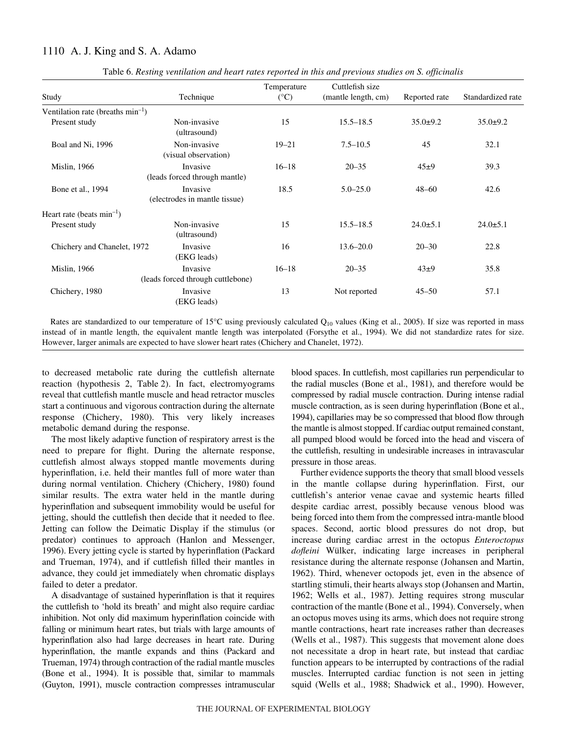| Study                                  | Technique                                     | Temperature<br>$(^{\circ}C)$ | Cuttlefish size<br>(mantle length, cm) | Reported rate  | Standardized rate |
|----------------------------------------|-----------------------------------------------|------------------------------|----------------------------------------|----------------|-------------------|
| Ventilation rate (breaths $min^{-1}$ ) |                                               |                              |                                        |                |                   |
| Present study                          | Non-invasive<br>(ultrasound)                  | 15                           | $15.5 - 18.5$                          | $35.0+9.2$     | $35.0+9.2$        |
| Boal and Ni, 1996                      | Non-invasive<br>(visual observation)          | $19 - 21$                    | $7.5 - 10.5$                           | 45             | 32.1              |
| Mislin, 1966                           | Invasive<br>(leads forced through mantle)     | $16 - 18$                    | $20 - 35$                              | $45\pm9$       | 39.3              |
| Bone et al., 1994                      | Invasive<br>(electrodes in mantle tissue)     | 18.5                         | $5.0 - 25.0$                           | $48 - 60$      | 42.6              |
| Heart rate (beats $min^{-1}$ )         |                                               |                              |                                        |                |                   |
| Present study                          | Non-invasive<br>(ultrasound)                  | 15                           | $15.5 - 18.5$                          | $24.0 \pm 5.1$ | $24.0 \pm 5.1$    |
| Chichery and Chanelet, 1972            | Invasive<br>(EKG leads)                       | 16                           | $13.6 - 20.0$                          | $20 - 30$      | 22.8              |
| Mislin, 1966                           | Invasive<br>(leads forced through cuttlebone) | $16 - 18$                    | $20 - 35$                              | $43\pm9$       | 35.8              |
| Chichery, 1980                         | Invasive<br>(EKG leads)                       | 13                           | Not reported                           | $45 - 50$      | 57.1              |

Table 6. *Resting ventilation and heart rates reported in this and previous studies on S. officinalis* 

Rates are standardized to our temperature of 15°C using previously calculated  $Q_{10}$  values (King et al., 2005). If size was reported in mass instead of in mantle length, the equivalent mantle length was interpolated (Forsythe et al., 1994). We did not standardize rates for size. However, larger animals are expected to have slower heart rates (Chichery and Chanelet, 1972).

to decreased metabolic rate during the cuttlefish alternate reaction (hypothesis 2, Table 2). In fact, electromyograms reveal that cuttlefish mantle muscle and head retractor muscles start a continuous and vigorous contraction during the alternate response (Chichery, 1980). This very likely increases metabolic demand during the response.

The most likely adaptive function of respiratory arrest is the need to prepare for flight. During the alternate response, cuttlefish almost always stopped mantle movements during hyperinflation, i.e. held their mantles full of more water than during normal ventilation. Chichery (Chichery, 1980) found similar results. The extra water held in the mantle during hyperinflation and subsequent immobility would be useful for jetting, should the cuttlefish then decide that it needed to flee. Jetting can follow the Deimatic Display if the stimulus (or predator) continues to approach (Hanlon and Messenger, 1996). Every jetting cycle is started by hyperinflation (Packard and Trueman, 1974), and if cuttlefish filled their mantles in advance, they could jet immediately when chromatic displays failed to deter a predator.

A disadvantage of sustained hyperinflation is that it requires the cuttlefish to 'hold its breath' and might also require cardiac inhibition. Not only did maximum hyperinflation coincide with falling or minimum heart rates, but trials with large amounts of hyperinflation also had large decreases in heart rate. During hyperinflation, the mantle expands and thins (Packard and Trueman, 1974) through contraction of the radial mantle muscles (Bone et al., 1994). It is possible that, similar to mammals (Guyton, 1991), muscle contraction compresses intramuscular

blood spaces. In cuttlefish, most capillaries run perpendicular to the radial muscles (Bone et al., 1981), and therefore would be compressed by radial muscle contraction. During intense radial muscle contraction, as is seen during hyperinflation (Bone et al., 1994), capillaries may be so compressed that blood flow through the mantle is almost stopped. If cardiac output remained constant, all pumped blood would be forced into the head and viscera of the cuttlefish, resulting in undesirable increases in intravascular pressure in those areas.

Further evidence supports the theory that small blood vessels in the mantle collapse during hyperinflation. First, our cuttlefish's anterior venae cavae and systemic hearts filled despite cardiac arrest, possibly because venous blood was being forced into them from the compressed intra-mantle blood spaces. Second, aortic blood pressures do not drop, but increase during cardiac arrest in the octopus *Enteroctopus dofleini* Wülker, indicating large increases in peripheral resistance during the alternate response (Johansen and Martin, 1962). Third, whenever octopods jet, even in the absence of startling stimuli, their hearts always stop (Johansen and Martin, 1962; Wells et al., 1987). Jetting requires strong muscular contraction of the mantle (Bone et al., 1994). Conversely, when an octopus moves using its arms, which does not require strong mantle contractions, heart rate increases rather than decreases (Wells et al., 1987). This suggests that movement alone does not necessitate a drop in heart rate, but instead that cardiac function appears to be interrupted by contractions of the radial muscles. Interrupted cardiac function is not seen in jetting squid (Wells et al., 1988; Shadwick et al., 1990). However,